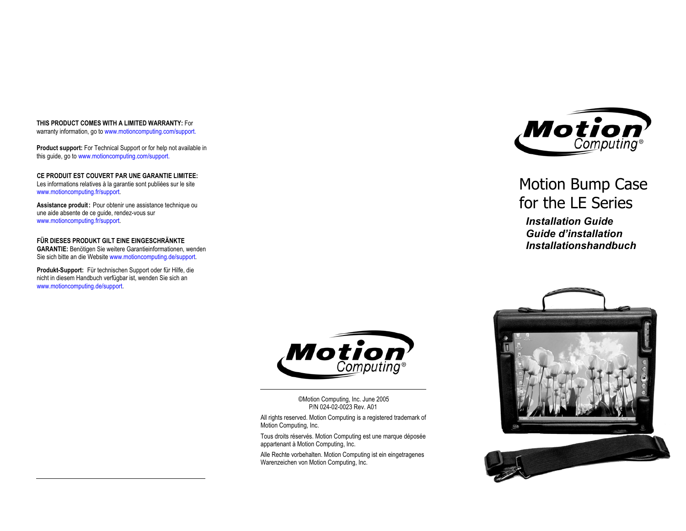**THIS PRODUCT COMES WITH A LIMITED WARRANTY:** For warranty information, go to www.motioncomputing.com/support.

**Product support:** For Technical Support or for help not available in this guide, go to www.motioncomputing.com/support.

**CE PRODUIT EST COUVERT PAR UNE GARANTIE LIMITEE:**Les informations relatives à la garantie sont publiées sur le site www.motioncomputing.fr/support.

**Assistance produit:** Pour obtenir une assistance technique ou une aide absente de ce guide, rendez-vous sur www.motioncomputing.fr/support.

**FÜR DIESES PRODUKT GILT EINE EINGESCHRÄNKTE GARANTIE:** Benötigen Sie weitere Garantieinformationen, wenden Sie sich bitte an die Website www.motioncomputing.de/support.

**Produkt-Support:** Für technischen Support oder für Hilfe, die nicht in diesem Handbuch verfügbar ist, wenden Sie sich an www.motioncomputing.de/support.



©Motion Computing, Inc. June 2005 P/N 024-02-0023 Rev. A01

All rights reserved. Motion Computing is <sup>a</sup> registered trademark of Motion Computing, Inc.

Tous droits réservés. Motion Computing est une marque déposée appartenant à Motion Computing, Inc.

Alle Rechte vorbehalten. Motion Computing ist ein eingetragenes Warenzeichen von Motion Computing, Inc.



Motion Bump Case for the LE Series*Installation GuideGuide d'installationInstallationshandbuch*